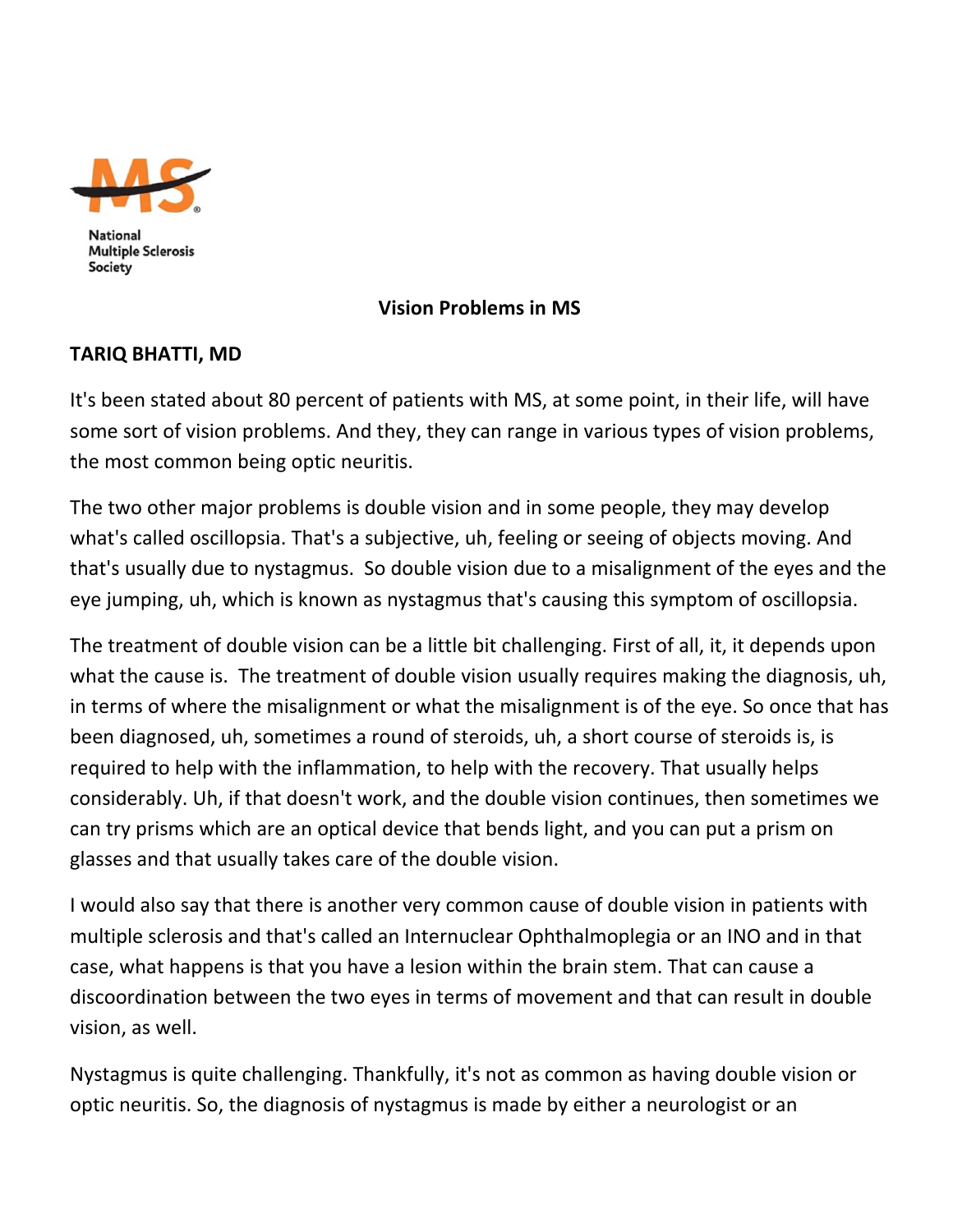

## **Vision Problems in MS**

## **TARIQ BHATTI, MD**

It's been stated about 80 percent of patients with MS, at some point, in their life, will have some sort of vision problems. And they, they can range in various types of vision problems, the most common being optic neuritis.

The two other major problems is double vision and in some people, they may develop what's called oscillopsia. That's a subjective, uh, feeling or seeing of objects moving. And that's usually due to nystagmus. So double vision due to a misalignment of the eyes and the eye jumping, uh, which is known as nystagmus that's causing this symptom of oscillopsia.

The treatment of double vision can be a little bit challenging. First of all, it, it depends upon what the cause is. The treatment of double vision usually requires making the diagnosis, uh, in terms of where the misalignment or what the misalignment is of the eye. So once that has been diagnosed, uh, sometimes a round of steroids, uh, a short course of steroids is, is required to help with the inflammation, to help with the recovery. That usually helps considerably. Uh, if that doesn't work, and the double vision continues, then sometimes we can try prisms which are an optical device that bends light, and you can put a prism on glasses and that usually takes care of the double vision.

I would also say that there is another very common cause of double vision in patients with multiple sclerosis and that's called an Internuclear Ophthalmoplegia or an INO and in that case, what happens is that you have a lesion within the brain stem. That can cause a discoordination between the two eyes in terms of movement and that can result in double vision, as well.

Nystagmus is quite challenging. Thankfully, it's not as common as having double vision or optic neuritis. So, the diagnosis of nystagmus is made by either a neurologist or an